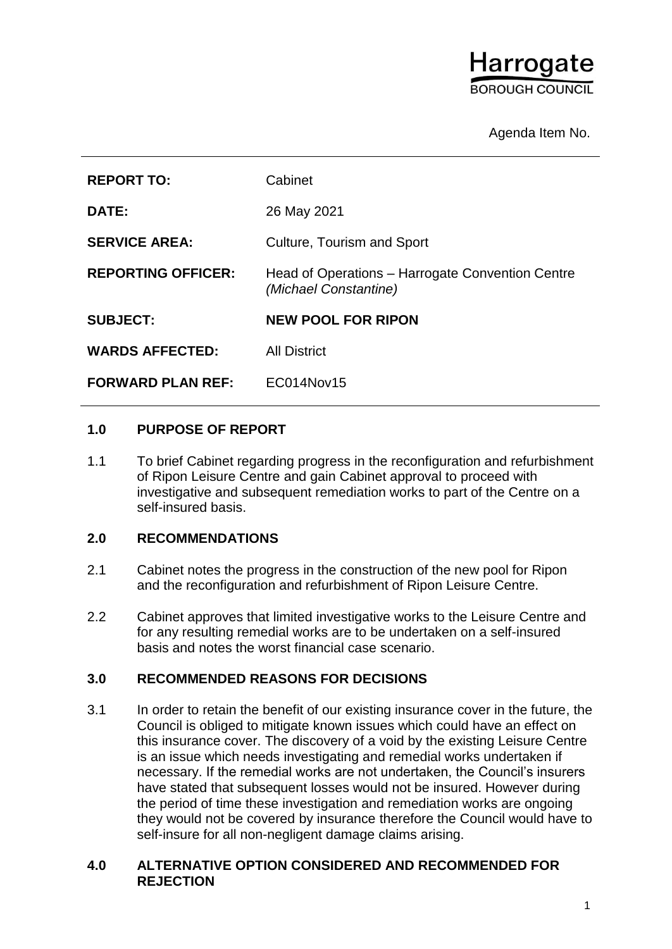# Harrogate **SOROUGH COUNCIL**

# Agenda Item No.

| <b>REPORT TO:</b>         | Cabinet                                                                   |
|---------------------------|---------------------------------------------------------------------------|
| <b>DATE:</b>              | 26 May 2021                                                               |
| <b>SERVICE AREA:</b>      | <b>Culture, Tourism and Sport</b>                                         |
| <b>REPORTING OFFICER:</b> | Head of Operations – Harrogate Convention Centre<br>(Michael Constantine) |
| <b>SUBJECT:</b>           | <b>NEW POOL FOR RIPON</b>                                                 |
| <b>WARDS AFFECTED:</b>    | <b>All District</b>                                                       |
|                           |                                                                           |

## **1.0 PURPOSE OF REPORT**

1.1 To brief Cabinet regarding progress in the reconfiguration and refurbishment of Ripon Leisure Centre and gain Cabinet approval to proceed with investigative and subsequent remediation works to part of the Centre on a self-insured basis.

## **2.0 RECOMMENDATIONS**

- 2.1 Cabinet notes the progress in the construction of the new pool for Ripon and the reconfiguration and refurbishment of Ripon Leisure Centre.
- 2.2 Cabinet approves that limited investigative works to the Leisure Centre and for any resulting remedial works are to be undertaken on a self-insured basis and notes the worst financial case scenario.

# **3.0 RECOMMENDED REASONS FOR DECISIONS**

3.1 In order to retain the benefit of our existing insurance cover in the future, the Council is obliged to mitigate known issues which could have an effect on this insurance cover. The discovery of a void by the existing Leisure Centre is an issue which needs investigating and remedial works undertaken if necessary. If the remedial works are not undertaken, the Council's insurers have stated that subsequent losses would not be insured. However during the period of time these investigation and remediation works are ongoing they would not be covered by insurance therefore the Council would have to self-insure for all non-negligent damage claims arising.

#### **4.0 ALTERNATIVE OPTION CONSIDERED AND RECOMMENDED FOR REJECTION**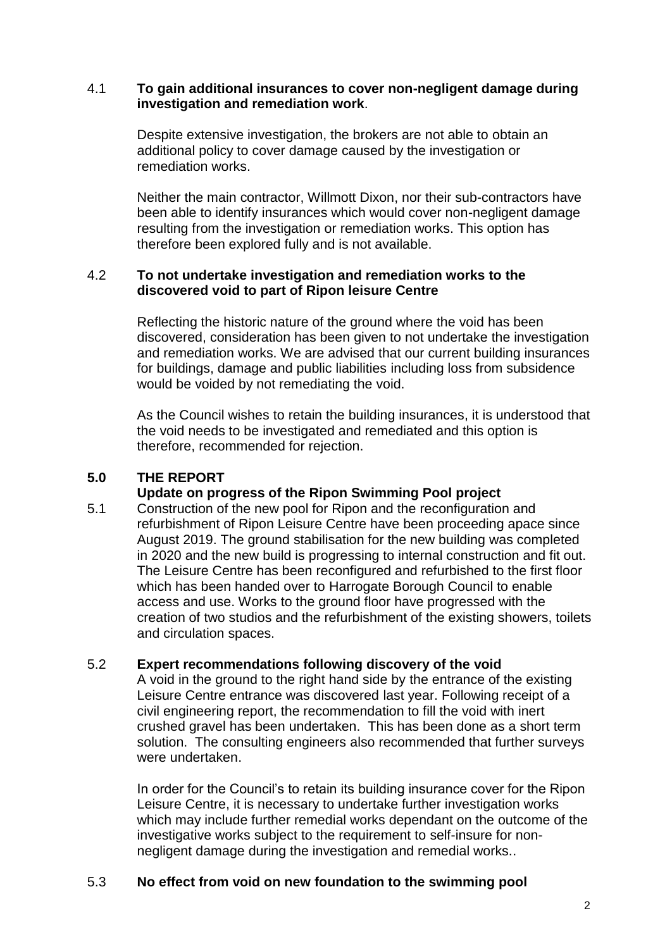#### 4.1 **To gain additional insurances to cover non-negligent damage during investigation and remediation work**.

Despite extensive investigation, the brokers are not able to obtain an additional policy to cover damage caused by the investigation or remediation works.

Neither the main contractor, Willmott Dixon, nor their sub-contractors have been able to identify insurances which would cover non-negligent damage resulting from the investigation or remediation works. This option has therefore been explored fully and is not available.

## 4.2 **To not undertake investigation and remediation works to the discovered void to part of Ripon leisure Centre**

Reflecting the historic nature of the ground where the void has been discovered, consideration has been given to not undertake the investigation and remediation works. We are advised that our current building insurances for buildings, damage and public liabilities including loss from subsidence would be voided by not remediating the void.

As the Council wishes to retain the building insurances, it is understood that the void needs to be investigated and remediated and this option is therefore, recommended for rejection.

## **5.0 THE REPORT**

#### **Update on progress of the Ripon Swimming Pool project**

5.1 Construction of the new pool for Ripon and the reconfiguration and refurbishment of Ripon Leisure Centre have been proceeding apace since August 2019. The ground stabilisation for the new building was completed in 2020 and the new build is progressing to internal construction and fit out. The Leisure Centre has been reconfigured and refurbished to the first floor which has been handed over to Harrogate Borough Council to enable access and use. Works to the ground floor have progressed with the creation of two studios and the refurbishment of the existing showers, toilets and circulation spaces.

#### 5.2 **Expert recommendations following discovery of the void**

A void in the ground to the right hand side by the entrance of the existing Leisure Centre entrance was discovered last year. Following receipt of a civil engineering report, the recommendation to fill the void with inert crushed gravel has been undertaken. This has been done as a short term solution. The consulting engineers also recommended that further surveys were undertaken.

In order for the Council's to retain its building insurance cover for the Ripon Leisure Centre, it is necessary to undertake further investigation works which may include further remedial works dependant on the outcome of the investigative works subject to the requirement to self-insure for nonnegligent damage during the investigation and remedial works..

#### 5.3 **No effect from void on new foundation to the swimming pool**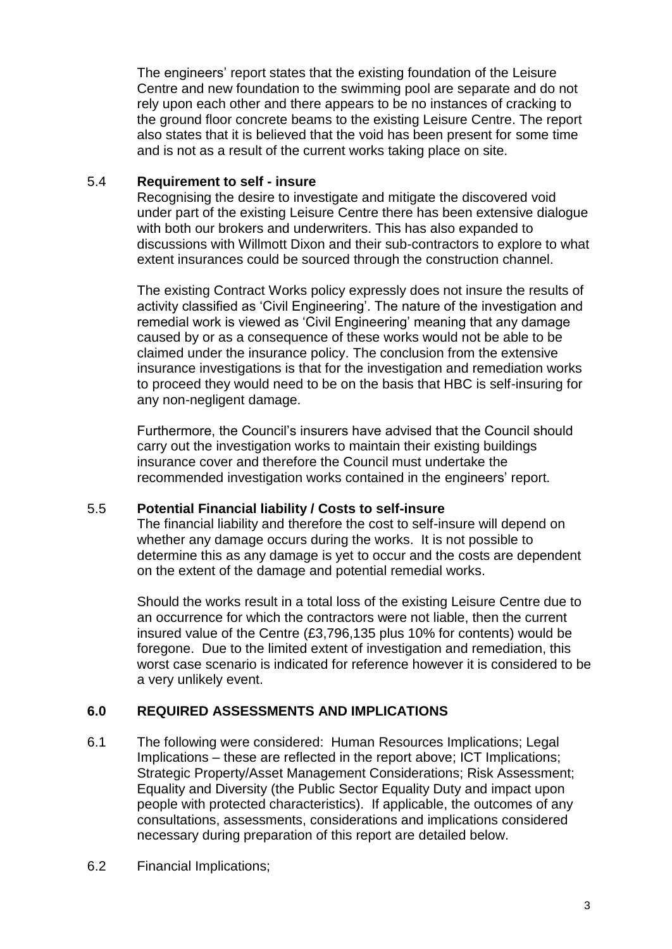The engineers' report states that the existing foundation of the Leisure Centre and new foundation to the swimming pool are separate and do not rely upon each other and there appears to be no instances of cracking to the ground floor concrete beams to the existing Leisure Centre. The report also states that it is believed that the void has been present for some time and is not as a result of the current works taking place on site.

## 5.4 **Requirement to self - insure**

Recognising the desire to investigate and mitigate the discovered void under part of the existing Leisure Centre there has been extensive dialogue with both our brokers and underwriters. This has also expanded to discussions with Willmott Dixon and their sub-contractors to explore to what extent insurances could be sourced through the construction channel.

The existing Contract Works policy expressly does not insure the results of activity classified as 'Civil Engineering'. The nature of the investigation and remedial work is viewed as 'Civil Engineering' meaning that any damage caused by or as a consequence of these works would not be able to be claimed under the insurance policy. The conclusion from the extensive insurance investigations is that for the investigation and remediation works to proceed they would need to be on the basis that HBC is self-insuring for any non-negligent damage.

Furthermore, the Council's insurers have advised that the Council should carry out the investigation works to maintain their existing buildings insurance cover and therefore the Council must undertake the recommended investigation works contained in the engineers' report.

# 5.5 **Potential Financial liability / Costs to self-insure**

The financial liability and therefore the cost to self-insure will depend on whether any damage occurs during the works. It is not possible to determine this as any damage is yet to occur and the costs are dependent on the extent of the damage and potential remedial works.

Should the works result in a total loss of the existing Leisure Centre due to an occurrence for which the contractors were not liable, then the current insured value of the Centre (£3,796,135 plus 10% for contents) would be foregone. Due to the limited extent of investigation and remediation, this worst case scenario is indicated for reference however it is considered to be a very unlikely event.

# **6.0 REQUIRED ASSESSMENTS AND IMPLICATIONS**

- 6.1 The following were considered: Human Resources Implications; Legal Implications – these are reflected in the report above; ICT Implications; Strategic Property/Asset Management Considerations; Risk Assessment; Equality and Diversity (the Public Sector Equality Duty and impact upon people with protected characteristics). If applicable, the outcomes of any consultations, assessments, considerations and implications considered necessary during preparation of this report are detailed below.
- 6.2 Financial Implications;